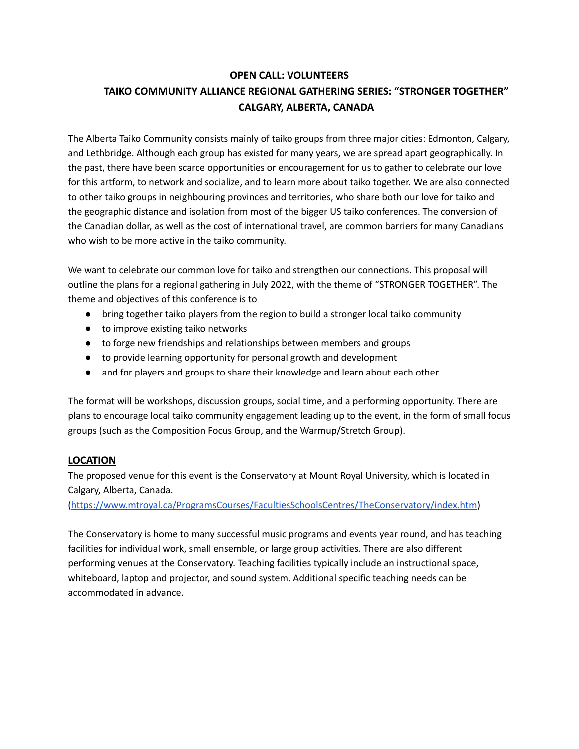# **OPEN CALL: VOLUNTEERS TAIKO COMMUNITY ALLIANCE REGIONAL GATHERING SERIES: "STRONGER TOGETHER" CALGARY, ALBERTA, CANADA**

The Alberta Taiko Community consists mainly of taiko groups from three major cities: Edmonton, Calgary, and Lethbridge. Although each group has existed for many years, we are spread apart geographically. In the past, there have been scarce opportunities or encouragement for us to gather to celebrate our love for this artform, to network and socialize, and to learn more about taiko together. We are also connected to other taiko groups in neighbouring provinces and territories, who share both our love for taiko and the geographic distance and isolation from most of the bigger US taiko conferences. The conversion of the Canadian dollar, as well as the cost of international travel, are common barriers for many Canadians who wish to be more active in the taiko community.

We want to celebrate our common love for taiko and strengthen our connections. This proposal will outline the plans for a regional gathering in July 2022, with the theme of "STRONGER TOGETHER". The theme and objectives of this conference is to

- bring together taiko players from the region to build a stronger local taiko community
- to improve existing taiko networks
- to forge new friendships and relationships between members and groups
- to provide learning opportunity for personal growth and development
- and for players and groups to share their knowledge and learn about each other.

The format will be workshops, discussion groups, social time, and a performing opportunity. There are plans to encourage local taiko community engagement leading up to the event, in the form of small focus groups (such as the Composition Focus Group, and the Warmup/Stretch Group).

# **LOCATION**

The proposed venue for this event is the Conservatory at Mount Royal University, which is located in Calgary, Alberta, Canada.

[\(https://www.mtroyal.ca/ProgramsCourses/FacultiesSchoolsCentres/TheConservatory/index.htm\)](https://www.mtroyal.ca/ProgramsCourses/FacultiesSchoolsCentres/TheConservatory/index.htm)

The Conservatory is home to many successful music programs and events year round, and has teaching facilities for individual work, small ensemble, or large group activities. There are also different performing venues at the Conservatory. Teaching facilities typically include an instructional space, whiteboard, laptop and projector, and sound system. Additional specific teaching needs can be accommodated in advance.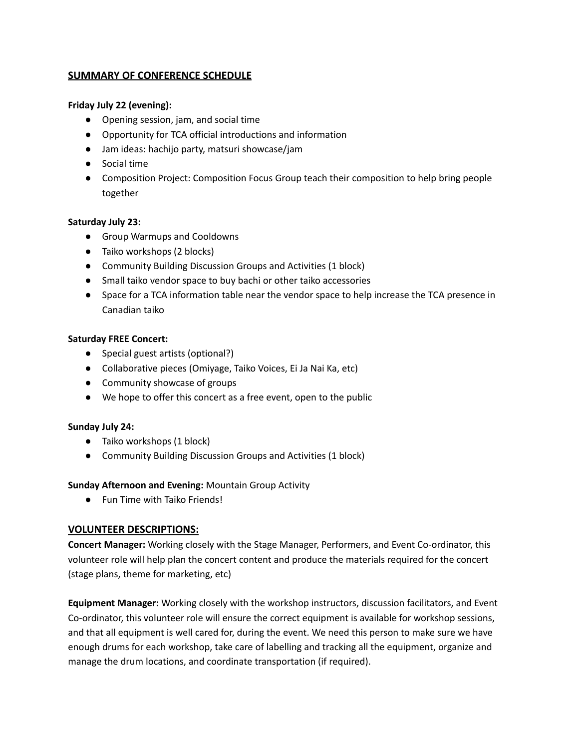# **SUMMARY OF CONFERENCE SCHEDULE**

### **Friday July 22 (evening):**

- Opening session, jam, and social time
- Opportunity for TCA official introductions and information
- Jam ideas: hachijo party, matsuri showcase/jam
- Social time
- Composition Project: Composition Focus Group teach their composition to help bring people together

## **Saturday July 23:**

- Group Warmups and Cooldowns
- Taiko workshops (2 blocks)
- Community Building Discussion Groups and Activities (1 block)
- Small taiko vendor space to buy bachi or other taiko accessories
- Space for a TCA information table near the vendor space to help increase the TCA presence in Canadian taiko

#### **Saturday FREE Concert:**

- Special guest artists (optional?)
- Collaborative pieces (Omiyage, Taiko Voices, Ei Ja Nai Ka, etc)
- Community showcase of groups
- We hope to offer this concert as a free event, open to the public

#### **Sunday July 24:**

- Taiko workshops (1 block)
- Community Building Discussion Groups and Activities (1 block)

#### **Sunday Afternoon and Evening:** Mountain Group Activity

● Fun Time with Taiko Friends!

# **VOLUNTEER DESCRIPTIONS:**

**Concert Manager:** Working closely with the Stage Manager, Performers, and Event Co-ordinator, this volunteer role will help plan the concert content and produce the materials required for the concert (stage plans, theme for marketing, etc)

**Equipment Manager:** Working closely with the workshop instructors, discussion facilitators, and Event Co-ordinator, this volunteer role will ensure the correct equipment is available for workshop sessions, and that all equipment is well cared for, during the event. We need this person to make sure we have enough drums for each workshop, take care of labelling and tracking all the equipment, organize and manage the drum locations, and coordinate transportation (if required).